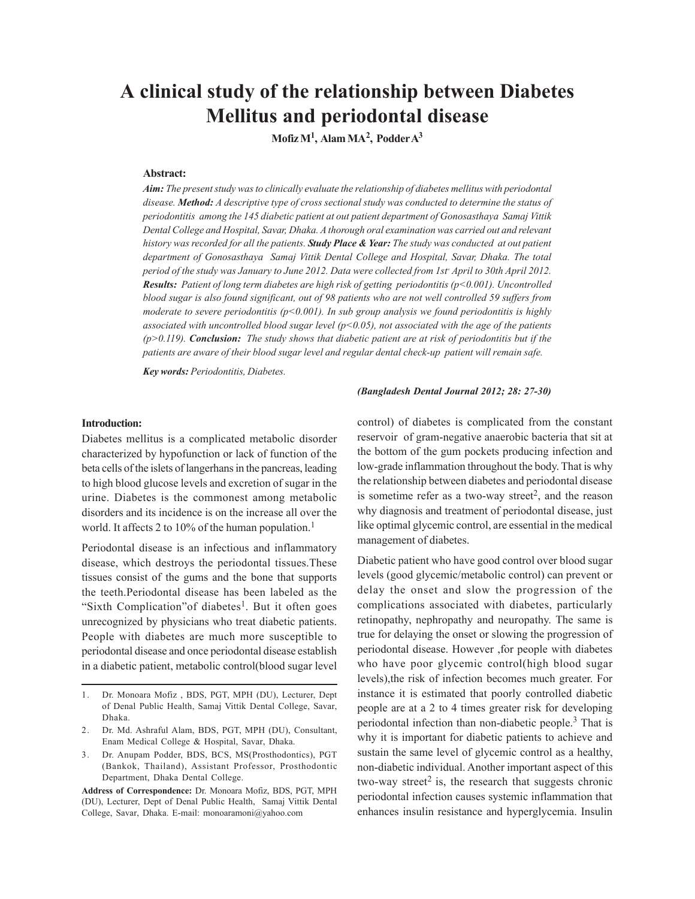# **A clinical study of the relationship between Diabetes Mellitus and periodontal disease**

**Mofiz M<sup>1</sup> , Alam MA<sup>2</sup> , Podder A<sup>3</sup>**

# **Abstract:**

*Aim: The present study was to clinically evaluate the relationship of diabetes mellitus with periodontal disease. Method: A descriptive type of cross sectional study was conducted to determine the status of periodontitis among the 145 diabetic patient at out patient department of Gonosasthaya Samaj Vittik Dental College and Hospital, Savar, Dhaka. A thorough oral examination was carried out and relevant history was recorded for all the patients. Study Place & Year: The study was conducted at out patient department of Gonosasthaya Samaj Vittik Dental College and Hospital, Savar, Dhaka. The total period of the study was January to June 2012. Data were collected from 1stst April to 30th April 2012. Results: Patient of long term diabetes are high risk of getting periodontitis (p<0.001). Uncontrolled blood sugar is also found significant, out of 98 patients who are not well controlled 59 suffers from moderate to severe periodontitis (p<0.001). In sub group analysis we found periodontitis is highly associated with uncontrolled blood sugar level (p<0.05), not associated with the age of the patients (p>0.119). Conclusion: The study shows that diabetic patient are at risk of periodontitis but if the patients are aware of their blood sugar level and regular dental check-up patient will remain safe.*

*Key words: Periodontitis, Diabetes.*

# **Introduction:**

Diabetes mellitus is a complicated metabolic disorder characterized by hypofunction or lack of function of the beta cells of the islets of langerhans in the pancreas, leading to high blood glucose levels and excretion of sugar in the urine. Diabetes is the commonest among metabolic disorders and its incidence is on the increase all over the world. It affects 2 to 10% of the human population.<sup>1</sup>

Periodontal disease is an infectious and inflammatory disease, which destroys the periodontal tissues.These tissues consist of the gums and the bone that supports the teeth.Periodontal disease has been labeled as the "Sixth Complication" of diabetes<sup>1</sup>. But it often goes unrecognized by physicians who treat diabetic patients. People with diabetes are much more susceptible to periodontal disease and once periodontal disease establish in a diabetic patient, metabolic control(blood sugar level

- 2. Dr. Md. Ashraful Alam, BDS, PGT, MPH (DU), Consultant, Enam Medical College & Hospital, Savar, Dhaka.
- 3. Dr. Anupam Podder, BDS, BCS, MS(Prosthodontics), PGT (Bankok, Thailand), Assistant Professor, Prosthodontic Department, Dhaka Dental College.

**Address of Correspondence:** Dr. Monoara Mofiz, BDS, PGT, MPH (DU), Lecturer, Dept of Denal Public Health, Samaj Vittik Dental College, Savar, Dhaka. E-mail: monoaramoni@yahoo.com

#### *(Bangladesh Dental Journal 2012; 28: 27-30)*

control) of diabetes is complicated from the constant reservoir of gram-negative anaerobic bacteria that sit at the bottom of the gum pockets producing infection and low-grade inflammation throughout the body. That is why the relationship between diabetes and periodontal disease is sometime refer as a two-way street<sup>2</sup>, and the reason why diagnosis and treatment of periodontal disease, just like optimal glycemic control, are essential in the medical management of diabetes.

Diabetic patient who have good control over blood sugar levels (good glycemic/metabolic control) can prevent or delay the onset and slow the progression of the complications associated with diabetes, particularly retinopathy, nephropathy and neuropathy. The same is true for delaying the onset or slowing the progression of periodontal disease. However ,for people with diabetes who have poor glycemic control(high blood sugar levels),the risk of infection becomes much greater. For instance it is estimated that poorly controlled diabetic people are at a 2 to 4 times greater risk for developing periodontal infection than non-diabetic people.<sup>3</sup> That is why it is important for diabetic patients to achieve and sustain the same level of glycemic control as a healthy, non-diabetic individual. Another important aspect of this two-way street<sup>2</sup> is, the research that suggests chronic periodontal infection causes systemic inflammation that enhances insulin resistance and hyperglycemia. Insulin

<sup>1.</sup> Dr. Monoara Mofiz , BDS, PGT, MPH (DU), Lecturer, Dept of Denal Public Health, Samaj Vittik Dental College, Savar, Dhaka.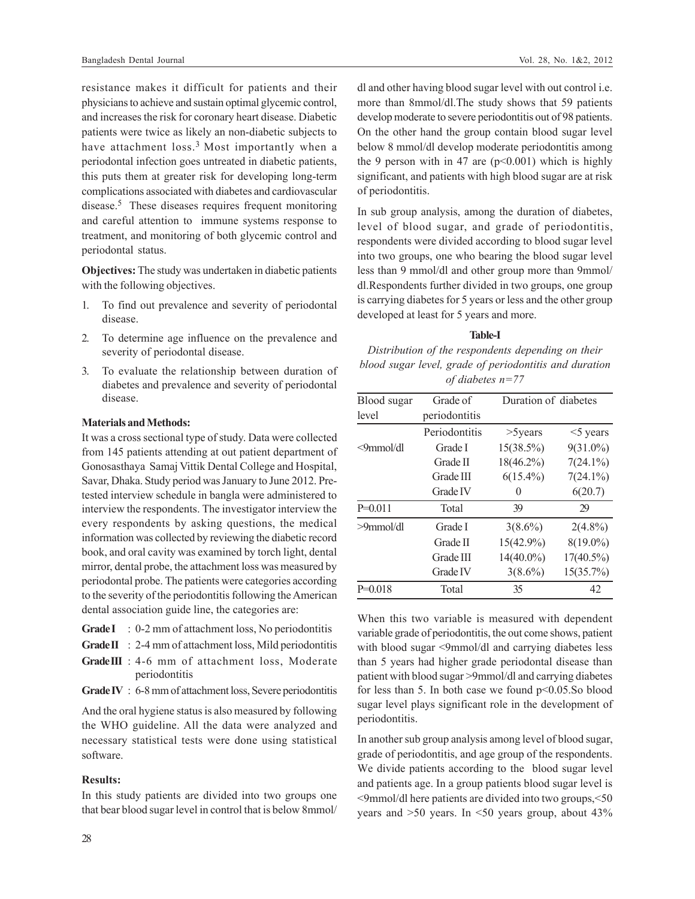resistance makes it difficult for patients and their physicians to achieve and sustain optimal glycemic control, and increases the risk for coronary heart disease. Diabetic patients were twice as likely an non-diabetic subjects to have attachment loss.<sup>3</sup> Most importantly when a periodontal infection goes untreated in diabetic patients, this puts them at greater risk for developing long-term complications associated with diabetes and cardiovascular disease.<sup>5</sup> These diseases requires frequent monitoring and careful attention to immune systems response to treatment, and monitoring of both glycemic control and periodontal status.

**Objectives:** The study was undertaken in diabetic patients with the following objectives.

- 1. To find out prevalence and severity of periodontal disease.
- 2. To determine age influence on the prevalence and severity of periodontal disease.
- 3. To evaluate the relationship between duration of diabetes and prevalence and severity of periodontal disease.

## **Materials and Methods:**

It was a cross sectional type of study. Data were collected from 145 patients attending at out patient department of Gonosasthaya Samaj Vittik Dental College and Hospital, Savar, Dhaka. Study period was January to June 2012. Pretested interview schedule in bangla were administered to interview the respondents. The investigator interview the every respondents by asking questions, the medical information was collected by reviewing the diabetic record book, and oral cavity was examined by torch light, dental mirror, dental probe, the attachment loss was measured by periodontal probe. The patients were categories according to the severity of the periodontitis following the American dental association guide line, the categories are:

- Grade I : 0-2 mm of attachment loss, No periodontitis
- Grade II : 2-4 mm of attachment loss, Mild periodontitis
- **Grade III** : 4-6 mm of attachment loss, Moderate periodontitis
- **Grade IV** : 6-8 mm of attachment loss, Severe periodontitis

And the oral hygiene status is also measured by following the WHO guideline. All the data were analyzed and necessary statistical tests were done using statistical software.

# **Results:**

In this study patients are divided into two groups one that bear blood sugar level in control that is below 8mmol/ dl and other having blood sugar level with out control i.e. more than 8mmol/dl.The study shows that 59 patients develop moderate to severe periodontitis out of 98 patients. On the other hand the group contain blood sugar level below 8 mmol/dl develop moderate periodontitis among the 9 person with in 47 are  $(p<0.001)$  which is highly significant, and patients with high blood sugar are at risk of periodontitis.

In sub group analysis, among the duration of diabetes, level of blood sugar, and grade of periodontitis, respondents were divided according to blood sugar level into two groups, one who bearing the blood sugar level less than 9 mmol/dl and other group more than 9mmol/ dl.Respondents further divided in two groups, one group is carrying diabetes for 5 years or less and the other group developed at least for 5 years and more.

#### **Table-I**

*Distribution of the respondents depending on their blood sugar level, grade of periodontitis and duration of diabetes n=77*

| Blood sugar     | Grade of      | Duration of diabetes |              |
|-----------------|---------------|----------------------|--------------|
| level           | periodontitis |                      |              |
|                 | Periodontitis | $>5$ years           | $<$ 5 years  |
| $\leq$ 9mmol/dl | Grade I       | $15(38.5\%)$         | $9(31.0\%)$  |
|                 | Grade II      | $18(46.2\%)$         | $7(24.1\%)$  |
|                 | Grade III     | $6(15.4\%)$          | $7(24.1\%)$  |
|                 | Grade IV      | 0                    | 6(20.7)      |
| $P=0.011$       | Total         | 39                   | 29           |
| $>9$ mmol/dl    | Grade I       | $3(8.6\%)$           | $2(4.8\%)$   |
|                 | Grade II      | $15(42.9\%)$         | $8(19.0\%)$  |
|                 | Grade III     | $14(40.0\%)$         | $17(40.5\%)$ |
|                 | Grade IV      | $3(8.6\%)$           | 15(35.7%)    |
| $P=0.018$       | Total         | 35                   | 42           |

When this two variable is measured with dependent variable grade of periodontitis, the out come shows, patient with blood sugar <9mmol/dl and carrying diabetes less than 5 years had higher grade periodontal disease than patient with blood sugar >9mmol/dl and carrying diabetes for less than 5. In both case we found  $p<0.05$ . So blood sugar level plays significant role in the development of periodontitis.

In another sub group analysis among level of blood sugar, grade of periodontitis, and age group of the respondents. We divide patients according to the blood sugar level and patients age. In a group patients blood sugar level is <9mmol/dl here patients are divided into two groups,<50 years and  $>50$  years. In  $\leq 50$  years group, about  $43\%$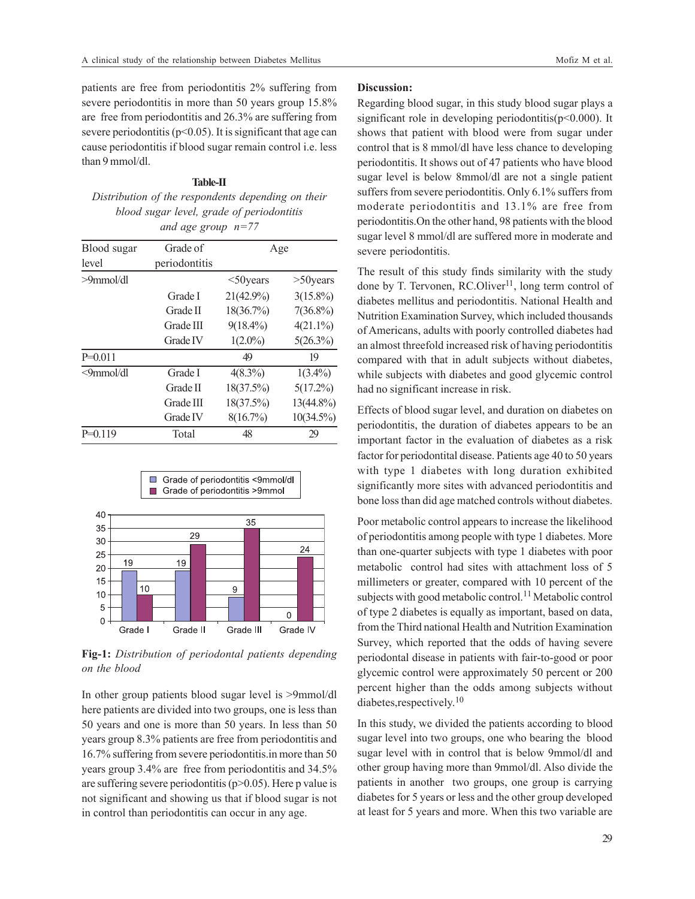patients are free from periodontitis 2% suffering from severe periodontitis in more than 50 years group 15.8% are free from periodontitis and 26.3% are suffering from severe periodontitis ( $p<0.05$ ). It is significant that age can cause periodontitis if blood sugar remain control i.e. less than 9 mmol/dl.

# **Table-II** *Distribution of the respondents depending on their blood sugar level, grade of periodontitis and age group n=77*

| Blood sugar | Grade of      | Age          |              |
|-------------|---------------|--------------|--------------|
| level       | periodontitis |              |              |
| >9mmol/dl   |               | $<$ 50 years | $>50$ years  |
|             | Grade I       | $21(42.9\%)$ | $3(15.8\%)$  |
|             | Grade II      | 18(36.7%)    | $7(36.8\%)$  |
|             | Grade III     | $9(18.4\%)$  | $4(21.1\%)$  |
|             | Grade IV      | $1(2.0\%)$   | $5(26.3\%)$  |
| $P=0.011$   |               | 49           | 19           |
| <9mmol/dl   | Grade I       | $4(8.3\%)$   | $1(3.4\%)$   |
|             | Grade II      | 18(37.5%)    | $5(17.2\%)$  |
|             | Grade III     | $18(37.5\%)$ | 13(44.8%)    |
|             | Grade IV      | 8(16.7%)     | $10(34.5\%)$ |
| $P=0.119$   | Total         | 48           | 29           |
|             |               |              |              |



**Fig-1:** *Distribution of periodontal patients depending on the blood*

In other group patients blood sugar level is >9mmol/dl here patients are divided into two groups, one is less than 50 years and one is more than 50 years. In less than 50 years group 8.3% patients are free from periodontitis and 16.7% suffering from severe periodontitis.in more than 50 years group 3.4% are free from periodontitis and 34.5% are suffering severe periodontitis  $(p>0.05)$ . Here p value is not significant and showing us that if blood sugar is not in control than periodontitis can occur in any age.

# **Discussion:**

Regarding blood sugar, in this study blood sugar plays a significant role in developing periodontitis( $p$ <0.000). It shows that patient with blood were from sugar under control that is 8 mmol/dl have less chance to developing periodontitis. It shows out of 47 patients who have blood sugar level is below 8mmol/dl are not a single patient suffers from severe periodontitis. Only 6.1% suffers from moderate periodontitis and 13.1% are free from periodontitis.On the other hand, 98 patients with the blood sugar level 8 mmol/dl are suffered more in moderate and severe periodontitis.

The result of this study finds similarity with the study done by T. Tervonen, RC.Oliver<sup>11</sup>, long term control of diabetes mellitus and periodontitis. National Health and Nutrition Examination Survey, which included thousands of Americans, adults with poorly controlled diabetes had an almost threefold increased risk of having periodontitis compared with that in adult subjects without diabetes, while subjects with diabetes and good glycemic control had no significant increase in risk.

Effects of blood sugar level, and duration on diabetes on periodontitis, the duration of diabetes appears to be an important factor in the evaluation of diabetes as a risk factor for periodontital disease. Patients age 40 to 50 years with type 1 diabetes with long duration exhibited significantly more sites with advanced periodontitis and bone loss than did age matched controls without diabetes.

Poor metabolic control appears to increase the likelihood of periodontitis among people with type 1 diabetes. More than one-quarter subjects with type 1 diabetes with poor metabolic control had sites with attachment loss of 5 millimeters or greater, compared with 10 percent of the subjects with good metabolic control.<sup>11</sup> Metabolic control of type 2 diabetes is equally as important, based on data, from the Third national Health and Nutrition Examination Survey, which reported that the odds of having severe periodontal disease in patients with fair-to-good or poor glycemic control were approximately 50 percent or 200 percent higher than the odds among subjects without diabetes,respectively. 10

In this study, we divided the patients according to blood sugar level into two groups, one who bearing the blood sugar level with in control that is below 9mmol/dl and other group having more than 9mmol/dl. Also divide the patients in another two groups, one group is carrying diabetes for 5 years or less and the other group developed at least for 5 years and more. When this two variable are